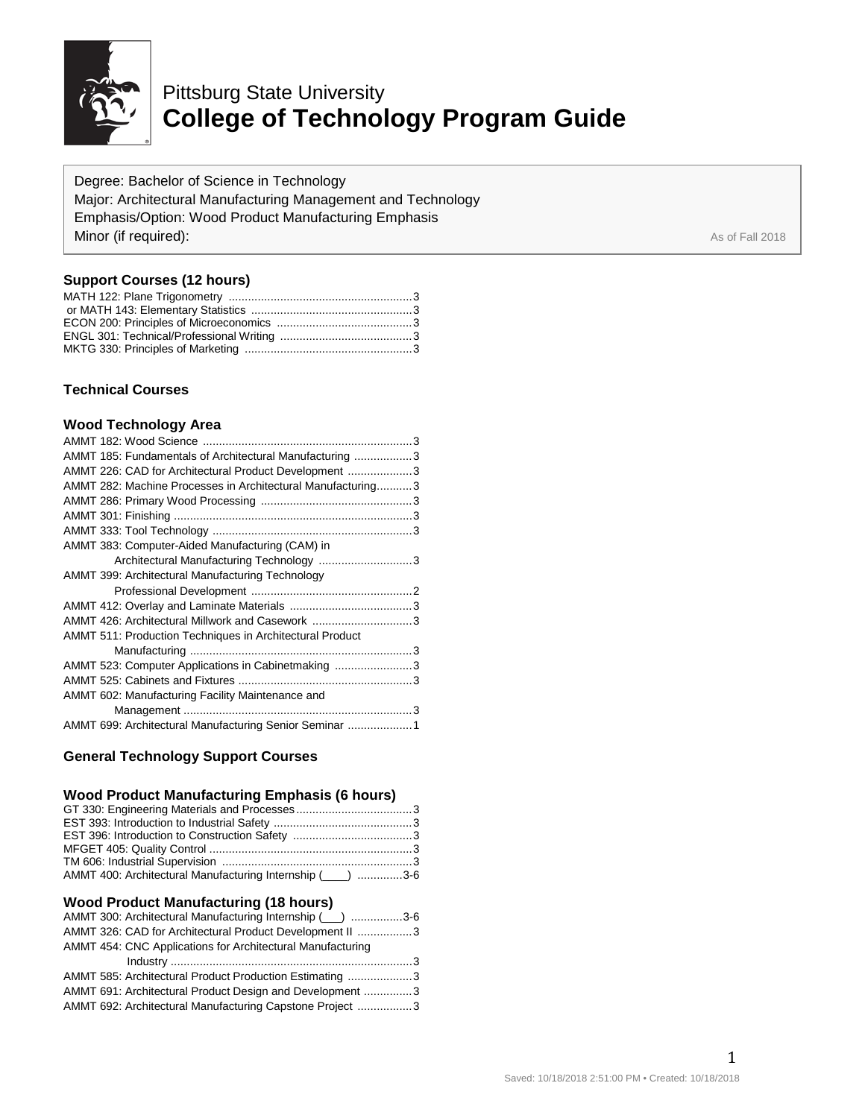

# Pittsburg State University **College of Technology Program Guide**

Degree: Bachelor of Science in Technology Major: Architectural Manufacturing Management and Technology Emphasis/Option: Wood Product Manufacturing Emphasis **Minor (if required):** As of Fall 2018

# **Support Courses (12 hours)**

# **Technical Courses**

#### **Wood Technology Area**

| AMMT 185: Fundamentals of Architectural Manufacturing 3         |
|-----------------------------------------------------------------|
| AMMT 226: CAD for Architectural Product Development 3           |
| AMMT 282: Machine Processes in Architectural Manufacturing3     |
|                                                                 |
|                                                                 |
|                                                                 |
| AMMT 383: Computer-Aided Manufacturing (CAM) in                 |
| Architectural Manufacturing Technology 3                        |
| AMMT 399: Architectural Manufacturing Technology                |
|                                                                 |
|                                                                 |
| AMMT 426: Architectural Millwork and Casework 3                 |
| <b>AMMT 511: Production Techniques in Architectural Product</b> |
|                                                                 |
| AMMT 523: Computer Applications in Cabinetmaking 3              |
|                                                                 |
| AMMT 602: Manufacturing Facility Maintenance and                |
|                                                                 |
| AMMT 699: Architectural Manufacturing Senior Seminar 1          |

# **General Technology Support Courses**

# **Wood Product Manufacturing Emphasis (6 hours)**

| AMMT 400: Architectural Manufacturing Internship (____) 3-6 |  |
|-------------------------------------------------------------|--|
|                                                             |  |

#### **Wood Product Manufacturing (18 hours)**

| AMMT 300: Architectural Manufacturing Internship (___) 3-6 |  |
|------------------------------------------------------------|--|
| AMMT 326: CAD for Architectural Product Development II 3   |  |
| AMMT 454: CNC Applications for Architectural Manufacturing |  |
|                                                            |  |
| AMMT 585: Architectural Product Production Estimating 3    |  |
| AMMT 691: Architectural Product Design and Development 3   |  |
| AMMT 692: Architectural Manufacturing Capstone Project 3   |  |